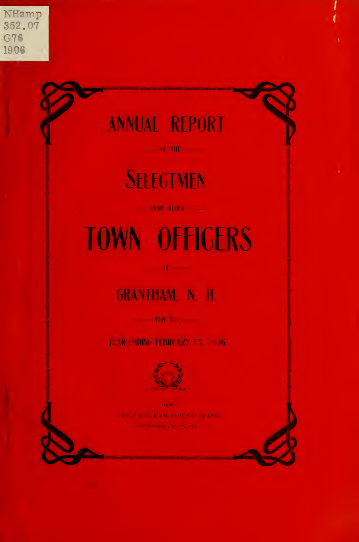# **ANNUAL REPORT**

 $-$  01 HH  $-$ 

# **SELECTMEN**

 $\longrightarrow$  **AND OHIER** 

# **TOWN OFFICERS**

## GRANTHAM, N. H.

 $\sim 0$ 

**THE REAL PROPERTY AND INCOME.** 

YEAR ENDING FEBRUARY 15, 1906.



**Louists** HOWE'S STEVM POWER PERSS. **CONSTITUTE SZIE**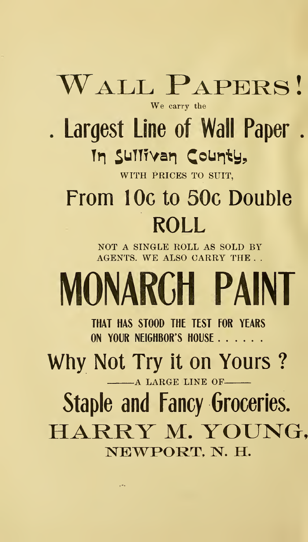Wall Papers ! We carry the

. Largest Line of Wall Paper In Sullivan County,

WITH PRICES TO SUIT,

# From 10c to 50c Double ROLL

NOT A SINGLE ROLL AS SOLD BY AGENTS. WE ALSO CARRY THE . .

# MONARCH PAINT

THAT HAS STOOD THE TEST FOR YEARS ON YOUR NEIGHBOR'S HOUSE

# Why Not Try it on Yours?

A LARGE LINE OF Staple and Fancy Groceries. HARRY M.YOUNG, NEWPORT, N. H.

 $\overline{a}$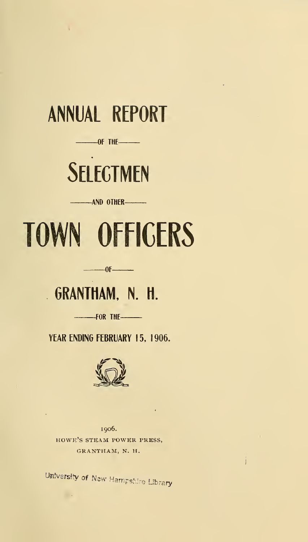# ANNUAL REPORT

 $\mathcal{L}$ 

-i -

 $\mathcal{A}^{\mathcal{A}}$ 

 $-$ OF THE- $-$ 

# **SELECTMEN**

-AND OTHER-

# TOWN OFFICERS

 $-$ OF $-$ 

### GRANTHAM, N. H.

**FOR THE** 

YEAR ENDING FEBRUARY 15, 1906.



 $\sim$   $\epsilon$ 

1906. HOWE'S STEAM POWER PRESS, GRANTHAM, N. H.

University of New Hampshire Library

 $\sim$  .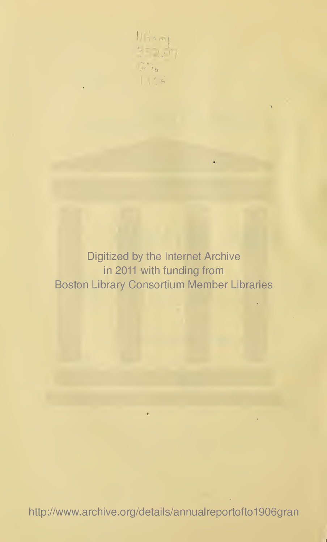WHO STATES  $\mathbb{H}^* \mathbb{I}_6$ 

Digitized by the Internet Archive in 2011 with funding from Boston Library Consortium Member Libraries

http://www.archive.org/details/annualreportofto1906gran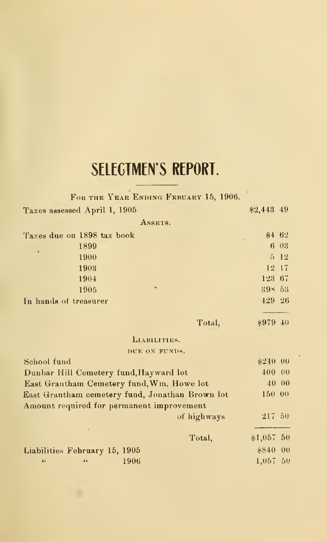### SELECTMEN'S REPORT.

FOR THE YEAR ENDING FEBUARY 15, 1906.

Taxes assessed April 1, 1905 12,443 49

| $\bf Assers.$ |  |
|---------------|--|
|---------------|--|

|    | Taxes due on 1898 tax book |           | $\ddot{\phantom{1}}$ | $$4\ 62$   |
|----|----------------------------|-----------|----------------------|------------|
|    | 1899                       |           |                      | $6 \t03$   |
| ø. | 1900                       |           |                      | $5\,12$    |
|    | 1903                       |           |                      | $12 \; 17$ |
|    | 1904                       |           | 123667               |            |
|    | 1905                       | $\bullet$ | $39 \times 53$       |            |
|    | In hands of treasurer      |           | 429,26               |            |

| Total, | $$979$ 40 |  |
|--------|-----------|--|
|--------|-----------|--|

### Liabilities.

### due on funds.

| School fund                   |    |                                                 |             | \$24000     |       |
|-------------------------------|----|-------------------------------------------------|-------------|-------------|-------|
|                               |    | Dunbar Hill Cemetery fund, Hayward lot          |             | 400 00      |       |
|                               |    | East Grantham Cemetery fund, Wm. Howe lot       |             |             | 40.00 |
|                               |    | East Grantham cemetery fund, Jonathan Brown lot |             | 150 00      |       |
|                               |    | Amount required for permanent improvement       |             |             |       |
|                               |    |                                                 | of highways | $217 - 50$  |       |
|                               |    |                                                 |             |             |       |
|                               |    |                                                 | Total,      | $*1,057$ 50 |       |
| Liabilities February 15, 1905 |    |                                                 |             | \$84000     |       |
| 66                            | 66 | 1906                                            |             | 1,057,50    |       |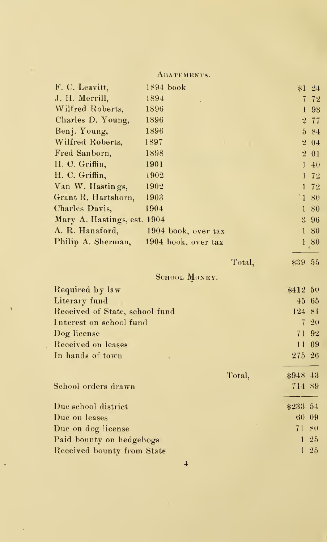### ABATEMENTS.

| F. C. Leavitt,                 | 1894 book           |                          | $$1\ 24$ |
|--------------------------------|---------------------|--------------------------|----------|
| J. H. Merrill,                 | 1894                |                          | $7 - 72$ |
| Wilfred Roberts,               | 1896                | $\mathbf{1}$             | 93       |
| Charles D. Young,              | 1896                |                          | 277      |
| Benj. Young,                   | 1896                |                          | 5 84     |
| Wilfred Roberts,               | 1897                |                          | 204      |
| Fred Sanborn,                  | 1898                |                          | 201      |
| H. C. Griffin,                 | 1901                |                          | 140      |
| H. C. Griffin,                 | 1902                |                          | 172      |
| Van W. Hastings,               | 1902                |                          | 172      |
| Grant R. Hartshorn,            | 1903                |                          | 180      |
| Charles Davis,                 | 1904                |                          | 1 80     |
| Mary A. Hastings, est. 1904    |                     |                          | $3\,96$  |
| A. R. Hanaford,                | 1904 book, over tax |                          | 1 80     |
| Philip A. Sherman,             | 1904 book, over tax |                          | 180      |
|                                | Total,              | \$39 55                  |          |
|                                |                     |                          |          |
|                                | SCHOOL MONEY.       |                          |          |
| Required by law                |                     | $*41250$                 |          |
| Literary fund                  |                     |                          | 45 65    |
| Received of State, school fund |                     | 124 81<br>$\overline{7}$ |          |
| Interest on school fund        |                     |                          | $-20$    |
| Dog license                    |                     |                          | 71 92    |
| Received on leases             |                     |                          | 11 09    |
| In hands of town               |                     | 275 26                   |          |
|                                | Total,              | $$948$ 43                |          |
| School orders drawn            |                     | 714 89                   |          |
| Due school district            |                     | \$233 54                 |          |
| Due on leases                  |                     | 60 09                    |          |
| Due on dog license             |                     | 71 80                    |          |
| Paid bounty on hedgehogs       |                     |                          | $1\,25$  |
| Received bounty from State     |                     | $\mathbf{1}$             | 25       |
|                                |                     |                          |          |

i,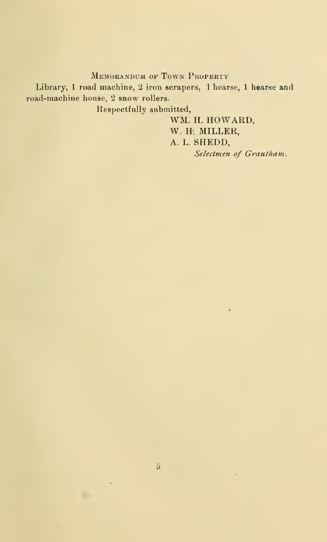MEMORANDUM OF TOWN PROPERTY

Library, <sup>1</sup> road machine, 2 iron scrapers, <sup>1</sup> hearse, <sup>1</sup> hearse and road-machine house, 2 snow rollers.

Respectfully submitted,

WM. H. HOWARD, W. H. MILLER, A. L. SHEDD, Selectmen of Grantham.

¥

÷,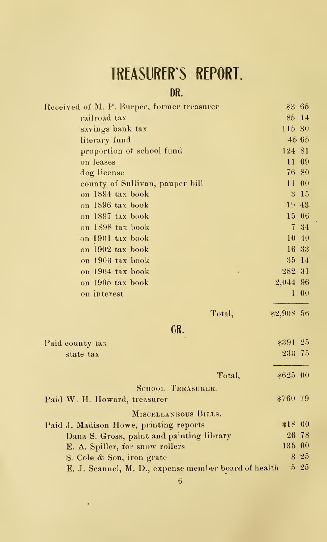### TREASURER'S REPORT.

### DR.

| Received of M. P. Burpee, former treasurer<br>\$3 65 |            |
|------------------------------------------------------|------------|
| railroad tax                                         | 85 14      |
| 115 30<br>savings bank tax                           |            |
| literary fund                                        | 45 65      |
| 124 81<br>proportion of school fund                  |            |
| on leases                                            | 11 09      |
| 76 80<br>dog license                                 |            |
| county of Sullivan, pauper bill                      | 11 00      |
| on 1894 tax book                                     | $3\quad15$ |
| $1!$ , 43<br>on 1896 tax book                        |            |
| 15 06<br>on 1897 tax book                            |            |
| on 1898 tax book                                     | 7 34       |
| on 1901 tax book                                     | 10 40      |
| on 1902 tax book                                     | 16 33      |
| on 1903 tax book                                     | 35 14      |
| 282 31<br>on 1904 tax book                           |            |
| 2,044 96<br>on 1905 tax book                         |            |
| on interest                                          | $1\ 00$    |
| Total,<br>\$2,908 56                                 |            |
| GR.                                                  |            |
| \$391 25<br>Paid county tax                          |            |
| 233 75<br>state tax                                  |            |
| \$62500<br>Total,                                    |            |
| SCHOOL TREASURER.                                    |            |
| *760 79<br>Paid W. H. Howard, treasurer              |            |
| MISCELLANEOUS BILLS.                                 |            |
| \$18 00<br>Paid J. Madison Howe, printing reports    |            |
| Dana S. Gross, paint and painting library            | 26 78      |
| 135 00<br>E. A. Spiller, for snow rollers            |            |
| S. Cole & Son, iron grate                            | $3\,25$    |
| E. J. Scannel, M. D., expense member board of health | $5\,25$    |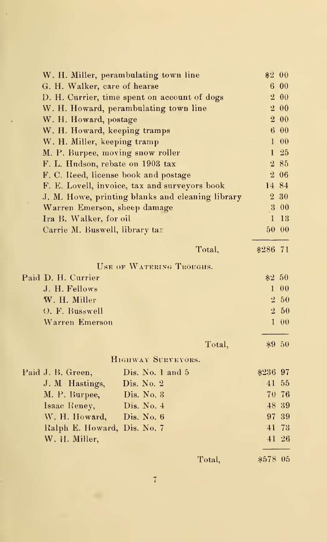| W. H. Miller, perambulating town line            |                          |        | \$200    |                  |
|--------------------------------------------------|--------------------------|--------|----------|------------------|
| G. H. Walker, care of hearse                     |                          |        |          | 600              |
| D. H. Currier, time spent on account of dogs     |                          |        |          | $2\ \ 00$        |
| W. H. Howard, perambulating town line            |                          |        |          | $2\ 00$          |
| W. H. Howard, postage                            |                          |        |          | 2 00             |
| W. H. Howard, keeping tramps                     |                          |        |          | 600              |
| W. H. Miller, keeping tramp                      |                          |        |          | 100              |
| M. P. Burpee, moving snow roller                 |                          |        |          | $1\quad25$       |
| F. L. Hudson, rebate on 1903 tax                 |                          |        |          | 2 85             |
| F. C. Reed, license book and postage             |                          |        |          | $2\ \ 06$        |
| F. E. Lovell, invoice, tax and surveyors book    |                          |        | 14 84    |                  |
| J. M. Howe, printing blanks and cleaning library |                          |        |          | 2 30             |
| Warren Emerson, sheep damage                     |                          |        |          | $3\overline{00}$ |
| Ira B. Walker, for oil                           |                          |        |          | 1 13             |
| Carrie M. Buswell, library tax                   |                          |        |          | 50 00            |
|                                                  |                          | Total, | \$286 71 |                  |
|                                                  | USE OF WATERING TROUGHS. |        |          |                  |
| Paid D. H. Currier                               |                          |        | \$2,50   |                  |
| J. H. Fellows                                    |                          |        |          | $1\quad00$       |
| W. H. Miller                                     |                          |        |          | $2\overline{50}$ |
| O. F. Busswell                                   |                          |        |          | $2\overline{50}$ |
| Warren Emerson                                   |                          |        |          | $1\ \ 00$        |
|                                                  |                          | Total, |          | \$950            |
|                                                  | HIGHWAY SURVEYORS.       |        |          |                  |
| Paid J. B. Green,                                | Dis. No. 1 and 5         |        | \$236 97 |                  |
| J. M Hastings,                                   | Dis. No. 2               |        |          | 41 55            |
| M. P. Burpee,                                    | Dis. No. 3               |        |          | 70 76            |
| Isaac Reney,                                     | Dis. No. 4               |        |          | 48 39            |
| W. H. Howard,                                    | Dis. No. 6               |        |          | 97 39            |
| Ralph E. Howard, Dis. No. 7                      |                          |        | 41 73    |                  |
| W. H. Miller,                                    |                          |        |          | 41 26            |
|                                                  |                          | Total, | *578 05  |                  |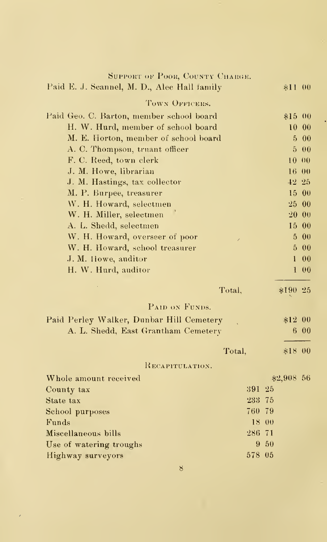| SUPPORT OF POOR, COUNTY CHARGE.<br>Paid E. J. Seannel, M. D., Alec Hall family | \$11 00     |            |
|--------------------------------------------------------------------------------|-------------|------------|
| TOWN OFFICERS.                                                                 |             |            |
| Paid Geo. C. Barton, member school board                                       | \$1500      |            |
| H. W. Hurd, member of school board                                             |             | 10 00      |
| M. E. Horton, member of school board                                           |             | 500        |
| A. C. Thompson, truant officer                                                 |             | $5\ \ 00$  |
| F. C. Reed, town clerk                                                         |             | 10 00      |
| J. M. Howe, librarian                                                          |             | 16 00      |
| J. M. Hastings, tax collector                                                  |             | 42, 25     |
| M. P. Burpee, treasurer                                                        |             | 15 00      |
| W. H. Howard, selectmen                                                        |             | 2500       |
| W. H. Miller, selectmen                                                        |             | 20 00      |
| A. L. Shedd, selectmen                                                         |             | 15 00      |
| W. H. Howard, overseer of poor<br>$\overline{\phantom{a}}$                     |             | $5\quad00$ |
| W. H. Howard, school treasurer                                                 |             | 500        |
| J. M. Howe, auditor                                                            |             | $1 \ 00$   |
| H. W. Hurd, auditor                                                            |             | $1\ \ 00$  |
| Total.                                                                         | $$190$ 25   |            |
| PAID ON FUNDS.                                                                 |             |            |
| Paid Perley Walker, Dunbar Hill Cemetery                                       | $$12\ 00$   |            |
| A. L. Shedd, East Grantham Cemetery                                            |             | 600        |
| Total,                                                                         | \$1800      |            |
| RECAPITULATION.                                                                |             |            |
| Whole amount received                                                          | $*2,908$ 56 |            |
| 391 25<br>County tax                                                           |             |            |
| 233 75<br>State tax                                                            |             |            |
| 760 79<br>School purposes                                                      |             |            |
| Funds                                                                          | 18 00       |            |
| Miscellaneous bills<br>286 71                                                  |             |            |
| Use of watering troughs<br>9                                                   | 50          |            |
|                                                                                |             |            |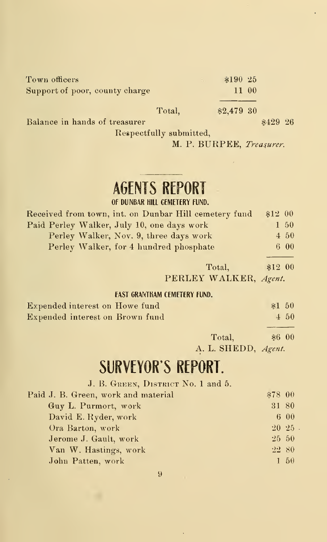| Town officers                  |        | $$190\,25$ |       |     |
|--------------------------------|--------|------------|-------|-----|
| Support of poor, county charge |        | 1100       |       |     |
|                                | Total. | \$2,479 30 |       |     |
| Balance in hands of treasurer  |        |            | \$429 | -26 |

Respectfully submitted,

M. P. BURPEE, Treasurer.

### **AGENTS REPORT**

OF DUNBAR HILL CEMETERY FUND.

| Received from town, int. on Dunbar Hill cemetery fund | $$12\ 00$ |  |
|-------------------------------------------------------|-----------|--|
| Paid Perley Walker, July 10, one days work            | 1,50      |  |
| Perley Walker, Nov. 9, three days work                | 4,50      |  |
| Perley Walker, for 4 hundred phosphate                | 600       |  |
|                                                       |           |  |

| Total.                | \$1200 |
|-----------------------|--------|
| PERLEY WALKER, Agent. |        |

### EAST GRANTHAM CEMETERY FUND.

| Expended interest on Howe fund  | \$1 50 |      |
|---------------------------------|--------|------|
| Expended interest on Brown fund |        | 4,50 |

| Total,                     | $$6\ 00$ |
|----------------------------|----------|
| $\Lambda$ I CUEDD $4\pi m$ |          |

A. L. SHEDD, Agent.

### SURVEYOR'S REPORT.

### J. B. Green, District No. <sup>1</sup> and 5.

| Paid J. B. Green, work and material | \$78 00 |            |
|-------------------------------------|---------|------------|
| Guy L. Purmort, work                | 31 80   |            |
| David E. Ryder, work                |         | 600        |
| Ora Barton, work                    |         | $20\,25$ . |
| Jerome J. Gault, work               | 25, 50  |            |
| Van W. Hastings, work               | 2280    |            |
| John Patten, work                   |         | 1,50       |

9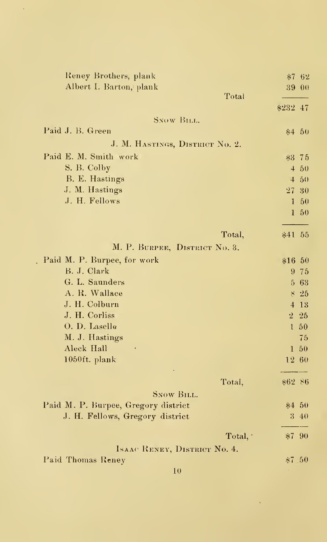| Reney Brothers, plank               |                |          | $*762$           |
|-------------------------------------|----------------|----------|------------------|
| Albert I. Barton, plank             |                |          | 39 00            |
|                                     | Total          |          |                  |
|                                     |                | \$232 47 |                  |
| SNOW BILL.                          |                |          |                  |
| Paid J. B. Green                    |                | \$4 50   |                  |
| J. M. HASTINGS, DISTRICT No. 2.     |                |          |                  |
| Paid E. M. Smith work               |                |          | \$3 75           |
| S. B. Colby                         |                |          | 4.50             |
| B. E. Hastings                      |                |          | 4.50             |
| J. M. Hastings                      |                | 27 30    |                  |
| J. H. Fellows                       |                |          | 1,50             |
|                                     |                |          | 1 50             |
|                                     |                |          |                  |
|                                     | Total,         | \$4155   |                  |
| M. P. BURPEE, DISTRICT No. 3.       |                |          |                  |
| Paid M. P. Burpee, for work         |                | \$16 50  |                  |
| B. J. Clark                         |                |          | 9 75             |
| G. L. Saunders                      |                |          | 5 63             |
| A. R. Wallace                       |                |          | 825              |
| J. H. Colburn                       |                |          | 4 13             |
| J. H. Corliss                       |                |          | $2\quad25$       |
| O. D. Laselle                       |                |          | $1\,50$          |
| M. J. Hastings                      |                |          | 75               |
| Aleck Hall                          |                |          | $1\overline{50}$ |
| $1050$ ft. plank                    |                | 12 60    |                  |
|                                     |                |          |                  |
|                                     | Total,         | \$6286   |                  |
| <b>SNOW BILL.</b>                   |                |          |                  |
| Paid M. P. Burpee, Gregory district |                | $$4\ 50$ |                  |
| J. H. Fellows, Gregory district     |                |          | $3\overline{40}$ |
|                                     |                |          |                  |
|                                     | Total, $\cdot$ | $*790$   |                  |
| ISAAC RENEY, DISTRICT No. 4.        |                |          |                  |
| Paid Thomas Reney                   |                | \$7,50   |                  |
|                                     |                |          |                  |

J.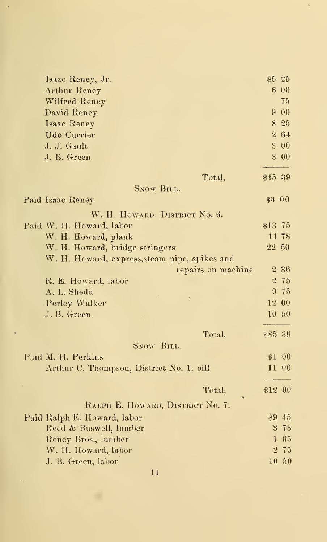| Isaac Reney, Jr.                              |         | $$5\ 25$  |
|-----------------------------------------------|---------|-----------|
| <b>Arthur Reney</b>                           |         | 600       |
| Wilfred Reney                                 |         | 75        |
| David Reney                                   |         | 900       |
| Isaac Reney                                   |         | 8 25      |
| Udo Currier                                   |         | 264       |
| J. J. Gault                                   |         | 3 00      |
| J. B. Green                                   |         | $3\ \ 00$ |
| Total,                                        | \$45 39 |           |
| SNOW BILL.                                    |         |           |
| Paid Isaac Reney                              | \$3 00  |           |
| W. H. HOWARD DISTRICT No. 6.                  |         |           |
| Paid W. H. Howard, labor                      | \$13 75 |           |
| W. H. Howard, plank                           |         | 1178      |
| W. H. Howard, bridge stringers                |         | 22, 50    |
| W. H. Howard, express, steam pipe, spikes and |         |           |
| repairs on machine                            |         | 2 36      |
| R. E. Howard, labor                           |         | 2 75      |
| A. L. Shedd                                   |         | 9 75      |
| Perley Walker                                 |         | 12 00     |
| J. B. Green                                   |         | 10, 50    |
| Total,                                        | \$8539  |           |
| SNOW BILL                                     |         |           |
| Paid M. H. Perkins                            |         | \$1~00    |
| Arthur C. Thompson, District No. 1. bill      |         | 11 00     |
| Total,                                        | \$1200  |           |
| RALPH E. HOWARD, DISTRICT No. 7.              |         |           |
| Paid Ralph E. Howard, labor                   |         | \$9,45    |
| Reed & Buswell, lumber                        |         | 3 78      |
| Reney Bros., lumber                           |         | 1 65      |
| W. H. Howard, labor                           |         | 2 75      |
| J. B. Green, labor                            |         | 10 50     |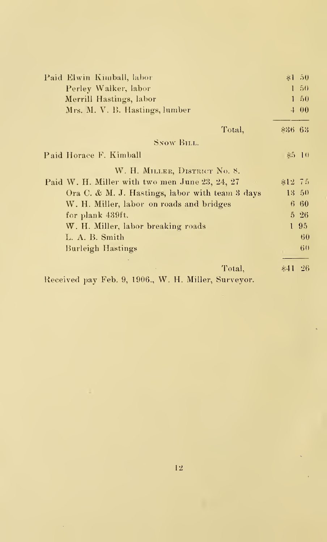| Paid Elwin Kimball, labor                                                                                                           |            | $$1\,50$         |
|-------------------------------------------------------------------------------------------------------------------------------------|------------|------------------|
| Perley Walker, labor                                                                                                                | 1          | $-50$            |
| Merrill Hastings, labor                                                                                                             |            | $1-50$           |
| Mrs. M. V. B. Hastings, lumber                                                                                                      |            | $4\overline{00}$ |
| Total,                                                                                                                              | \$36 63    |                  |
| SNOW BILL.                                                                                                                          |            |                  |
| Paid Horace F. Kimball                                                                                                              |            | \$5,10           |
| W. H. MILLER, DISTRICT No. 8.                                                                                                       |            |                  |
| Paid W. H. Miller with two men June 23, 24, 27                                                                                      |            | \$12, 75         |
| Ora C. & M. J. Hastings, labor with team 3 days                                                                                     |            | 13, 50           |
| W. H. Miller, labor on roads and bridges                                                                                            |            | $6\text{ }60$    |
| for plank 439ft.                                                                                                                    |            | $5\,26$          |
| W. H. Miller, labor breaking roads                                                                                                  |            | 1 95             |
| L. A. B. Smith                                                                                                                      |            | 60               |
| <b>Burleigh Hastings</b>                                                                                                            |            | 60               |
| Total,                                                                                                                              | $$41 \t26$ |                  |
| $D_{\text{max}}(1, 1) = D_{\text{max}}(D_{\text{max}}(1, 0, 10000))$ and $M_{\text{max}}(D_{\text{max}}(D_{\text{max}}(1, 100000))$ |            |                  |

Received pay Feb. 9, 1906., W. H. Miller, Surveyor.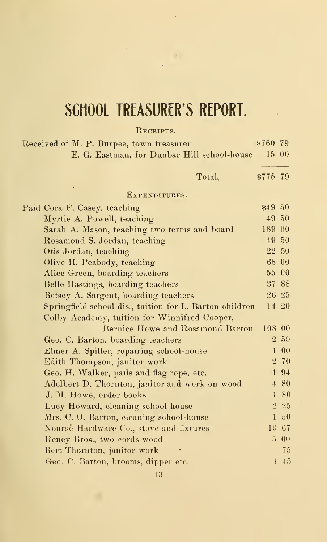### SCHOOL TREASURER'S REPORT.

 $\mathcal{L}_{\rm{max}}$  $\mathbb{R}^4$ 

RECEIPTS.

|                                                         |          | \$760 79 |
|---------------------------------------------------------|----------|----------|
| E. G. Eastman, for Dunbar Hill school-house             | 15 00    |          |
| Total,                                                  | \$775 79 |          |
| EXPENDITURES.                                           |          |          |
| Paid Cora F. Casey, teaching.                           | \$4950   |          |
| Myrtie A. Powell, teaching                              | 49 50    |          |
| Sarah A. Mason, teaching two terms and board            | 189 00   |          |
| Rosamond S. Jordan, teaching                            | 49 50    |          |
| Otis Jordan, teaching.                                  |          | 22, 50   |
| Olive H. Peabody, teaching                              |          | 68 00    |
| Alice Green, boarding teachers                          |          | 55 00    |
| Belle Hastings, boarding teachers                       |          | 37 88    |
| Betsey A. Sargent, boarding teachers                    |          | 26 25    |
| Springfield school dis., tuition for L. Barton children |          | 14 20    |
| Colby Academy, tuition for Winnifred Cooper,            |          |          |
| Bernice Howe and Rosamond Barton                        | 108 00   |          |
| Geo. C. Barton, boarding teachers                       |          | 250      |
| Elmer A. Spiller, repairing school-house                |          | $1 \ 00$ |
| Edith Thompson, janitor work                            |          | 2 70     |
| Geo. H. Walker, pails and flag rope, etc.               |          | 1 94     |
| Adelbert D. Thornton, janitor and work on wood          |          | 4 80     |
| J. M. Howe, order books                                 |          | 1 80     |
| Lucy Howard, cleaning school-house                      |          | $2-25$   |
| Mrs. C. O. Barton, cleaning school-house                |          | $1\,50$  |
| Nourse Hardware Co., stove and fixtures                 |          | 10 67    |
| Reney Bros., two cords wood                             |          | $5\,00$  |
| Bert Thornton, janitor work                             |          | 75       |
| Geo. C. Barton, brooms, dipper etc.                     |          | $1\;45$  |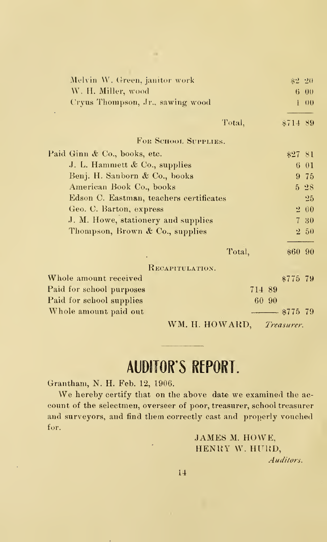| Melvin W. Green, janitor work           |                           | 案2 20        |               |
|-----------------------------------------|---------------------------|--------------|---------------|
| W. H. Miller, wood                      |                           |              | $6 - 00$      |
| Cryus Thompson, Jr., sawing wood        |                           |              | $1 - 00$      |
|                                         | Total,                    | $$714$ 89    |               |
| FOR SCHOOL SUPPLIES.                    |                           |              |               |
| Paid Ginn & Co., books, etc.            |                           | \$2781       |               |
| J. L. Hammett & Co., supplies           |                           |              | $6\text{ }01$ |
| Benj. H. Sanborn & Co., books           |                           |              | 9 75          |
| American Book Co., books                |                           |              | 528           |
| Edson C. Eastman, teachers certificates |                           |              | 25            |
| Geo. C. Barton, express                 |                           |              | $2\ \ 00$     |
| J. M. Howe, stationery and supplies     |                           |              | 780           |
| Thompson, Brown & Co., supplies         |                           |              | 250           |
|                                         | Total,                    | \$60, 90     |               |
| RECAPITULATION.                         |                           |              |               |
| Whole amount received                   |                           | *775 79      |               |
| Paid for school purposes                | 714 89                    |              |               |
| Paid for school supplies                | 60 90                     |              |               |
| Whole amount paid out                   |                           | $-$ \$775 79 |               |
|                                         | WM. H. HOWARD, Treasurer. |              |               |
|                                         |                           |              |               |

### **AUDITOR'S REPORT.**

Grantham, N. H. Feb. 12, 1906.

We hereby certify that on the above date we examined the ac count of the selectmen, overseer of poor, treasurer, school treasurer and surveyors, and find them correctly cast and properly vouched for.

JAMES M. HOWE, HENRY W. HURD,

Auditors.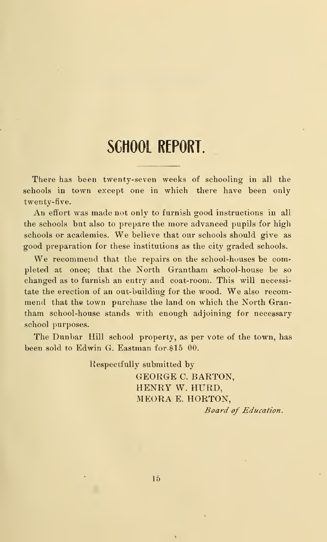### SCHOOL REPORT.

There has been twenty-seven weeks of schooling in all the schools in town except one in which there have been only twenty-five.

An effort was made not only to furnish good instructions in all the schools but also to prepare the more advanced pupils for high schools or academies. We believe that our schools should give as good preparation for these institutions as the city graded schools.

We recommend that the repairs on the school-houses be completed at once; that the North Grantham school-house be so changed as to furnish an entry and coat-room. This will necessitate the erection of an out-building for the wood. We also recom mend that the town purchase the land on which the North Grantham school-house stands with enough adjoining for necessary school purposes.

The Dunbar Hill school property, as per vote of the town, has been sold to Edwin G. Eastman for \$15 00.

> Respectfully submitted by GEORGE C. BARTON, HENRY W. HURD, MEORA E. HORTON,

Board of Education.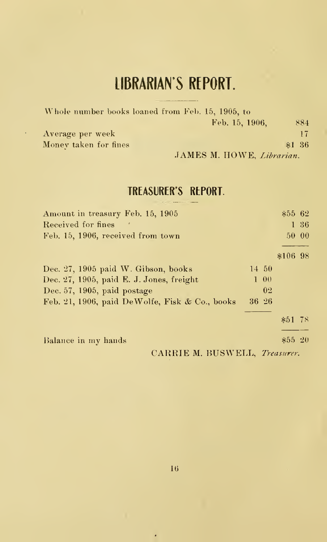### LIBRARIAN'S REPORT.

| Whole number books loaned from Feb. 15, 1905, to |                           |          |  |
|--------------------------------------------------|---------------------------|----------|--|
|                                                  | Feb. 15, 1906,            | 884      |  |
| Average per week                                 |                           | 17       |  |
| Money taken for fines                            |                           | $$1\,36$ |  |
|                                                  | JAMES M. HOWE, Librarian. |          |  |

### TREASURER'S REPORT.

| Amount in treasury Feb. 15, 1905               |       |                | \$55662   |         |
|------------------------------------------------|-------|----------------|-----------|---------|
| Received for fines                             |       |                |           | $1\,36$ |
| Feb. 15, 1906, received from town              |       |                | 50 00     |         |
|                                                |       |                | \$106 98  |         |
| Dec. 27, 1905 paid W. Gibson, books            | 14 50 |                |           |         |
| Dec. 27, 1905, paid E. J. Jones, freight       |       | $1 \t00$       |           |         |
| Dec. 57, 1905, paid postage                    |       | 0 <sup>2</sup> |           |         |
| Feb. 21, 1906, paid DeWolfe, Fisk & Co., books |       | 36 26          |           |         |
|                                                |       |                | $$51$ 78  |         |
| Balance in my hands                            |       |                | $$55\,20$ |         |
| CARRIE M. BUSWELL, Treasurer.                  |       |                |           |         |

 $\bullet$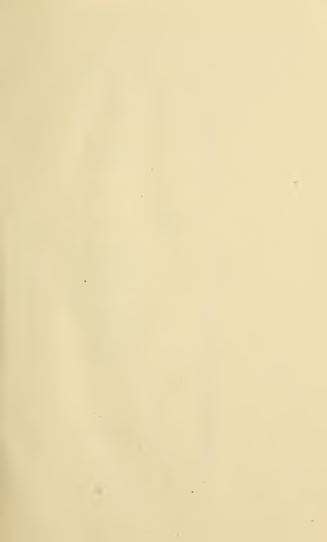$\label{eq:2} \mathcal{L} = \mathcal{L} \left( \mathcal{L} \right) \left( \mathcal{L} \right) \left( \mathcal{L} \right) \left( \mathcal{L} \right)$  $\overline{\phantom{a}}$  $\mathcal{A} \in \mathcal{A}$  , and

 $\sim 10^{11}$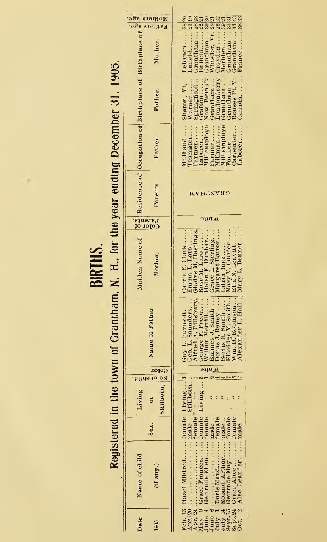# BIRTHS.

# Registered in the town of Grantham, N. H., for the year ending December 31, 1905.

| 988<br>влеціом<br>Fathers age.                                 | $\frac{30}{28}$<br>43 43<br>33<br>X                                                                                                                                                                                                                                                                                                                                                                                                                                                                                                                                                                                                                                           |
|----------------------------------------------------------------|-------------------------------------------------------------------------------------------------------------------------------------------------------------------------------------------------------------------------------------------------------------------------------------------------------------------------------------------------------------------------------------------------------------------------------------------------------------------------------------------------------------------------------------------------------------------------------------------------------------------------------------------------------------------------------|
| Mother                                                         | $\begin{array}{c}\n \overline{\text{a}}\,\overline{\text{a}}\,\overline{\text{a}}\,\overline{\text{a}}\,\overline{\text{a}}\,\overline{\text{a}}\,\overline{\text{a}}\,\overline{\text{a}}\,\overline{\text{a}}\,\overline{\text{a}}\,\overline{\text{a}}\,\overline{\text{a}}\,\overline{\text{a}}\,\overline{\text{a}}\,\overline{\text{a}}\,\overline{\text{a}}\,\overline{\text{a}}\,\overline{\text{a}}\,\overline{\text{a}}\,\overline{\text{a}}\,\overline{\text{a}}\,\overline{\text{a}}\,\overline{\text{a}}\,\overline{\text$<br>Grantham.<br>Enfield<br>Meriden<br>$\text{or}$ don.<br>hantham<br>Grantham<br>Winsdor.<br>Grantham<br>Enfield<br>Lebanon<br>France |
| Father.                                                        | Rouses Pt. Vt<br>New Bruns'k<br>Londonderry<br>$Gratton \ldots$<br>Sharon, Vt<br>Warner<br>Gramlim<br>Springfield<br>Grantham.<br>Grantham.<br>$0$ anada                                                                                                                                                                                                                                                                                                                                                                                                                                                                                                                      |
| Residence of Occupation of Birthplace of Birthplace<br>Father. | Millemploye<br>Mill employe<br>Millman<br>Laborer<br>${\rm Farner} \dots$<br>Carpenter<br>Teamster<br>Iillhand<br>$\texttt{Farmer} \dots$<br>Aborer<br>armer.                                                                                                                                                                                                                                                                                                                                                                                                                                                                                                                 |
| Parents.                                                       | GRANTHAM                                                                                                                                                                                                                                                                                                                                                                                                                                                                                                                                                                                                                                                                      |
| Parents.<br><b>Color</b> of                                    | ә11ЧМ                                                                                                                                                                                                                                                                                                                                                                                                                                                                                                                                                                                                                                                                         |
| Maiden Name of<br>Mother.                                      | Carrie E. Clark<br>Gladys M. Hastings.<br>Rose M. Laro<br>Emma L. Laro<br>Helen F. Dunbar.<br>Grace L. Sterling.<br>Mary V. Currier.<br>Etta N. Leavitt<br>Margaret Barton<br>Lilian Inez<br>Mary L. Bennet                                                                                                                                                                                                                                                                                                                                                                                                                                                                   |
| Name of Father                                                 | Elbridge M. Smith<br>Wm. H. Robinson<br>Alexander L. Hall<br>onas J. Reney<br>Bertis H. Smith<br>lfred A. Pillsbury<br>lmmet J. Smith<br>reorge F. Pecor<br>reo. L. Saunders.<br>Vilbur Merrill<br>Guy L. Purmoit.                                                                                                                                                                                                                                                                                                                                                                                                                                                            |
| <b>Color.</b>                                                  | әзиим                                                                                                                                                                                                                                                                                                                                                                                                                                                                                                                                                                                                                                                                         |
| blido to.ok<br>Living<br>ð                                     | Living.<br>医心理 医单位的<br>ă<br>š.                                                                                                                                                                                                                                                                                                                                                                                                                                                                                                                                                                                                                                                |
| Sex.                                                           |                                                                                                                                                                                                                                                                                                                                                                                                                                                                                                                                                                                                                                                                               |
| Name of child<br>$(i$ f any.)                                  | Feb. 13 Hazel Mildred female                                                                                                                                                                                                                                                                                                                                                                                                                                                                                                                                                                                                                                                  |
| Date<br>1905.                                                  |                                                                                                                                                                                                                                                                                                                                                                                                                                                                                                                                                                                                                                                                               |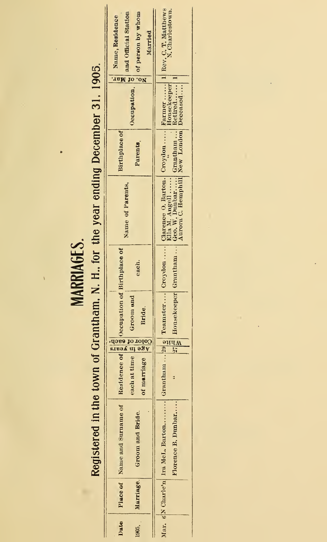# MARRIAGES.

# Registered in the town of Grantham, N. H., for the year ending December 31, 1905.

| Eq correct by whom<br>and Official Station<br>Name, Residence<br>Married                                      | Clarence O. Barton. $\left[\text{Croydon}\dots\right]$ Farmer  1 Rev. C. T. Matthews (360, W. Dunbar) Grantham  Rethed 1 1 |
|---------------------------------------------------------------------------------------------------------------|----------------------------------------------------------------------------------------------------------------------------|
| TEM <sub>1</sub><br>JO<br>ceupation                                                                           |                                                                                                                            |
|                                                                                                               |                                                                                                                            |
| <b>Birthplace of</b><br>Parents,                                                                              |                                                                                                                            |
| Name of Parents,                                                                                              | Aurora C. Hemphill New London Deceased                                                                                     |
| coupation of Birthplace of<br>each.                                                                           |                                                                                                                            |
| Groom und<br>Bride.                                                                                           | $\frac{29}{2}$ Teamster Croydon<br>$\left \frac{\mathbf{z}_7}{\mathbf{z}}\right $ Housekeeper Grantham.                    |
|                                                                                                               |                                                                                                                            |
| $\frac{1}{\sqrt{2}}$ Residence of $\frac{1}{\sqrt{2}}\frac{1}{\sqrt{2}}$<br>of marriage a<br>each at time [2] | Grantham                                                                                                                   |
| Date Place of Name and Surname of<br>1905, Marriage. Groom and Bride.                                         | Florence B. Dunbar<br>Mar. 6N Charle'n 1ra McL. Barton                                                                     |
|                                                                                                               |                                                                                                                            |
|                                                                                                               |                                                                                                                            |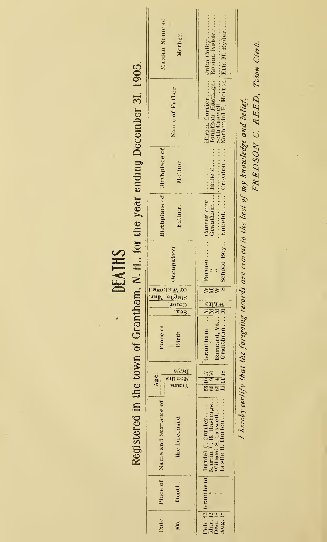| Maiden Name of<br>Mother.                     |                                                                                                                                                                                                                                                                                                                                                                                                                                              |                                                                                                 |
|-----------------------------------------------|----------------------------------------------------------------------------------------------------------------------------------------------------------------------------------------------------------------------------------------------------------------------------------------------------------------------------------------------------------------------------------------------------------------------------------------------|-------------------------------------------------------------------------------------------------|
| Name of Father.                               | $\begin{tabular}{ c c c c c c c c c } \hline \textbf{G} \textbf{random} & \dots & \textbf{Mg} & \textbf{W} & \textbf{Parmer} & \dots & \textbf{G} \textbf{untebunv} \dots & \textbf{G} \textbf{untebunv} \dots \\ \hline \textbf{Ramard, Vt}, \textbf{Mg} & \textbf{W} & \dots & \textbf{G} \textbf{unthebunv} & \dots & \textbf{B} \textbf{mfield} & \dots & \textbf{F} \textbf{on} \textbf{G} \textbf{an} \textbf{G} \textbf{an} \textbf{$ | FREDSON C. REED, Town Clerk.                                                                    |
| Birthplace of   Birthplace of<br>Mother.      |                                                                                                                                                                                                                                                                                                                                                                                                                                              | I hereby certify that the foregoing records are crorect to the best of my knowledge and belief, |
| Father.                                       |                                                                                                                                                                                                                                                                                                                                                                                                                                              |                                                                                                 |
| ceupation.                                    |                                                                                                                                                                                                                                                                                                                                                                                                                                              |                                                                                                 |
| single,<br>18 IV                              |                                                                                                                                                                                                                                                                                                                                                                                                                                              |                                                                                                 |
| Place of<br>Birth                             |                                                                                                                                                                                                                                                                                                                                                                                                                                              |                                                                                                 |
| $_{\rm{ggg}}$<br>$\ddot{AB}$<br>Year:<br>Tear | $\frac{63}{10}17$<br>11,11,18<br>60 9 10                                                                                                                                                                                                                                                                                                                                                                                                     |                                                                                                 |
| Name and Surname of<br>the Deceased           |                                                                                                                                                                                                                                                                                                                                                                                                                                              |                                                                                                 |
| Place of<br>Death.                            |                                                                                                                                                                                                                                                                                                                                                                                                                                              |                                                                                                 |
| Date<br>905.                                  |                                                                                                                                                                                                                                                                                                                                                                                                                                              |                                                                                                 |

# DEATHS

 $\ddot{\phantom{0}}$ 

# Registered in the town of Grantham, N. H., for the vear ending December 31, 1905.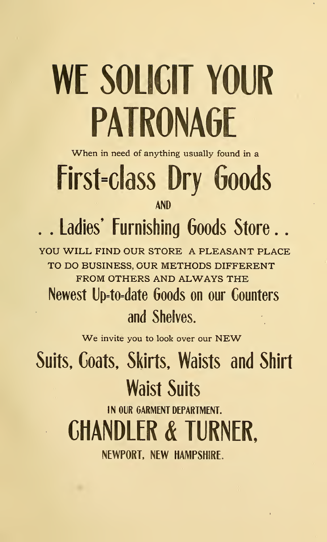# WE SOLICIT YOUR **PATRONAGE**

When in need of anything usually found in <sup>a</sup>

First=class Dry Goods

AND

. . Ladies' Furnishing Goods Store .

YOU WILL FIND OUR STORE A PLEASANT PLACE TO DO BUSINESS, OUR METHODS DIFFERENT FROM OTHERS AND ALWAYS THE Newest Up=to=date Goods on our Counters and Shelves.

We invite you to look over our NEW

# Suits, Coats, Skirts, Waists and Shirt Waist Suits

IN OUR GARMENT DEPARTMENT. CHANDLER & TURNER,

NEWPORT, NEW HAMPSHIRE.